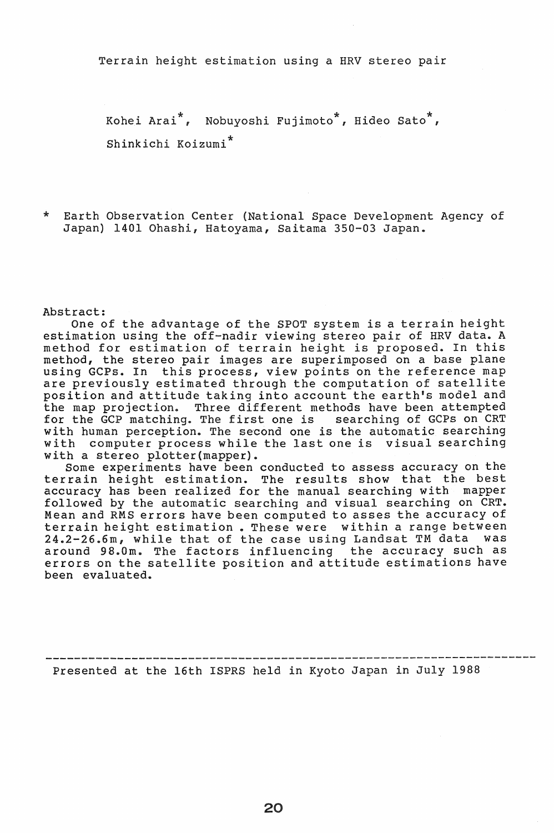Terrain height estimation using a HRV stereo pair

Kohei Arai\*, Nobuyoshi Fujimoto\*, Hideo sato\*, Shinkichi KOizumi\*

\* Earth Observation Center (National Space Development Agency of Japan) 1401 Ohashi, Hatoyama, Saitama 350-03 Japan.

Abstract:

One of the advantage of the SPOT system is a terrain height estimation using the off-nadir viewing stereo pair of HRV data. A method for estimation of terrain height is proposed. In this method, the stereo pair images are superimposed on a base plane meenou, the secret part images are superimposed on a sase plane<br>using GCPs. In this process, view points on the reference map are previously estimated through the computation of satellite position and attitude taking into account the earth's model and the map projection. Three different methods have been attempted for the GCP matching. The first one is searching of GCPs on CRT with human perception. The second one is the automatic searching with computer process while the last one is visual searching with a stereo plotter{mapper).

Some experiments have been conducted to assess accuracy on the terrain height estimation. The results show that the best accuracy has been realized for the manual searching with mapper followed by the automatic searching and visual searching on CRT. Mean and RMS errors have been computed to asses the accuracy of terrain height estimation. These were within a range between 24.2-26.6m, while that of the case using Landsat TM data was around 98.0m. The factors influencing the accuracy such as errors on the satellite position and attitude estimations have been evaluated.

-------------------------------~---------------------- --------------- Presented at the 16th ISPRS held in Kyoto Japan in July 1988

20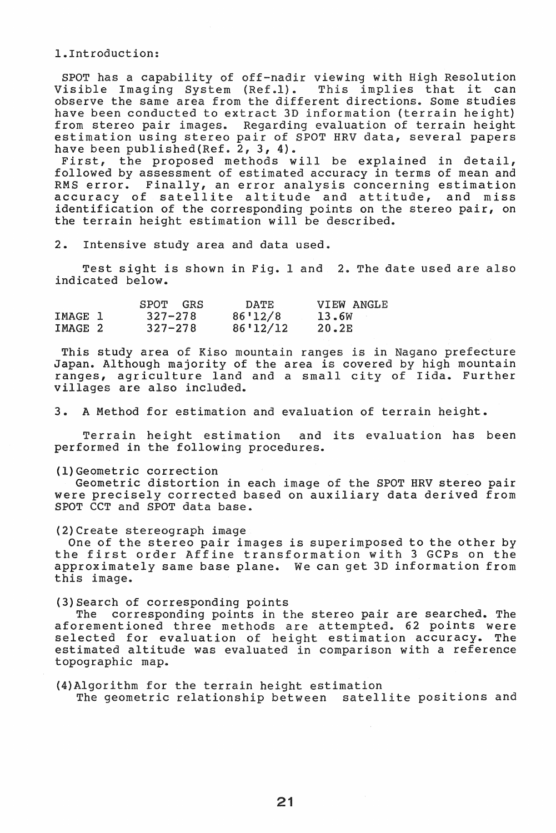l .. Introduction:

SPOT has a capability of off-nadir viewing with High Resolution<br>Visible Imaging System (Ref.l). This implies that it can Visible Imaging System (Ref.1). This implies that it can observe the same area from the different directions. Some studies have been conducted to extract 3D information (terrain height) from stereo pair images. Regarding evaluation of terrain height estimation using stereo pair of SPOT HRV data, several papers have been published (Ref. 2, 3, 4).

First, the proposed methods will be explained in detail, followed by assessment of estimated accuracy in terms of mean and RMS error. Finally, an error analysis concerning estimation<br>accuracy of satellite altitude and attitude, and miss accuracy of satellite altitude and attitude, identification of the corresponding points on the stereo pair, on the terrain height estimation will be described.

2.. Intensive study area and data used.

Test sight is shown in Fig. 1 and 2. The date used are also indicated below.

|         | SPOT<br>GRS | <b>DATE</b> | VIEW ANGLE |
|---------|-------------|-------------|------------|
| IMAGE 1 | $327 - 278$ | 86'12/8     | 13.6W      |
| IMAGE 2 | $327 - 278$ | 86'12/12    | 20.2E      |

This study area of Kiso mountain ranges is in Nagano prefecture Japan. Although majority of the area is covered by high mountain ranges, agriculture land and a small city of Iida. Further villages are also included.

3.. A Method for estimation and evaluation of terrain height ..

Terrain height estimation and its evaluation has been performed in the following procedures.

(1) Geometric correction

Geometric distortion in each image of the SPOT HRV stereo pair were precisely corrected based on auxiliary data derived from SPOT CCT and SPOT data base.

(2)Create stereograph image

One of the stereo pair images is superimposed to the other by the first order Affine transformation with 3 GCPs on the approximately same base plane. We can get 3D information from this image.

(3) Search of corresponding points

The corresponding points in the stereo pair are searched. The aforementioned three methods are attempted.. 62 points were selected for evaluation of height estimation accuracy. The estimated altitude was evaluated in comparison with a reference topographic map.

(4)Algorithm for the terrain height estimation The geometric relationship between satellite positions and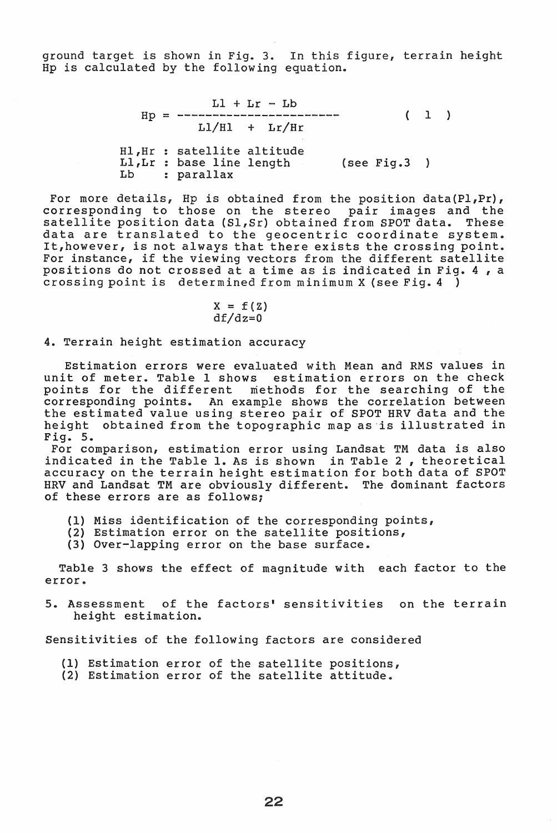ground target is shown in Fig. 3. In this figure, terrain height Hp is calculated by the following equation.

> $LI + Lr - Lb$ Hp = <sup>1</sup>  $L1/H1 + Lr/Hr$ Hl,Hr Ll,Lr Lb satellite altitude base line length (see Fig.3 ) parallax

For more details, Hp is obtained from the position data(Pl,Pr), corresponding to those on the stereo pair images and the satellite position data (Sl,Sr) obtained from SPOT data. These data are translated to the geocentric coordinate system. It,however, is not always that there exists the crossing point. For instance, if the viewing vectors from the different satellite positions do not crossed at a time as is indicated in Fig. 4, a crossing point is determined from minimum X (see Fig.  $4$ )

$$
X = f(Z)
$$

$$
df/dz=0
$$

4. Terrain height estimation accuracy

Estimation errors were evaluated with Mean and RMS values in unit of meter. Table 1 shows estimation errors on the check points for the different methods for the searching of the corresponding points. An example shows the correlation between the estimated value using stereo pair of SPOT HRV data and the height obtained from the topographic map as is illustrated in Fig. 5.

For comparison, estimation error using Landsat TM data is also indicated in the Table 1. As is shown in Table 2, theoretical accuracy on the terrain height estimation for both data of SPOT HRV and Landsat TM are obviously different.. The dominant factors of these errors are as follows;

- (1) Miss identification of the corresponding points,
- (2) Estimation error on the satellite positions,
- (3) Over-lapping error on the base surface.

Table 3 shows the effect of magnitude with each factor to the error.

5. Assessment of the factors' sensitivities on the terrain height estimation.

Sensitivities of the following factors are considered

- (1) Estimation error of the satellite positions,
- (2) Estimation error of the satellite positions.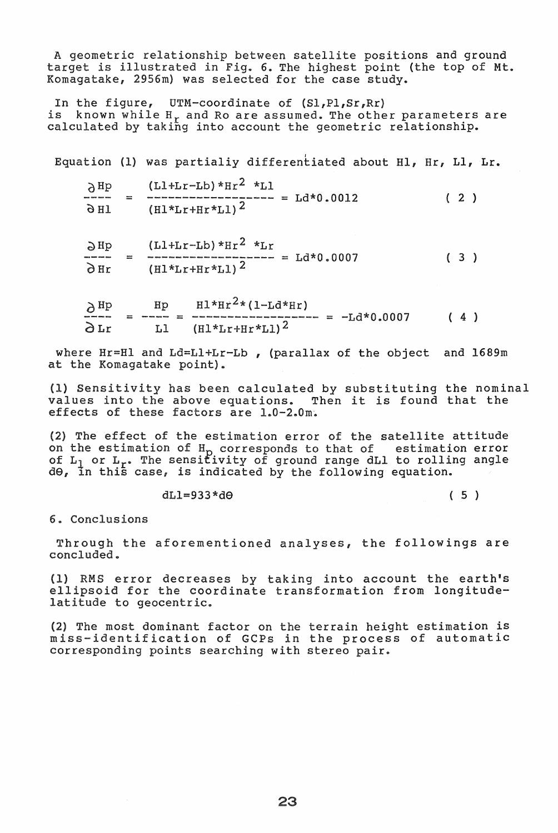A geometric relationship between satellite positions and ground target is illustrated in Fig. 6. The highest point (the top of Mt. Komagatake, 2956m) was selected for the case study.

In the figure, UTM-coordinate of (Sl,Pl,Sr,Rr) is known while H<sub>r</sub> and Ro are assumed. The other parameters are calculated by taking into account the geometric relationship.

Equation (1) was partialiy differentiated about Hl, Hr, Ll, Lr.

| $\lambda$ Hp                  |    | $(L1+Lr-Lb)*Hr^2 *L1$                                                                                             |               |     |  |  |
|-------------------------------|----|-------------------------------------------------------------------------------------------------------------------|---------------|-----|--|--|
| docum district disease excess | 22 | Girlsa disano titras danno essua diversi disano quanto disano disano disano disano dessa dessa dense dense disano | $=$ Ld*0.0012 | (2) |  |  |
| 9 H J                         |    | $(H1*Lr+Hr*L1)^2$                                                                                                 |               |     |  |  |

 $\partial$ Hp (Ll+Lr-Lb)\*Hr<sup>2</sup> \*Lr<br>  $\bar{c}$  =  $\bar{c}$  =  $\bar{c}$  =  $\bar{c}$  =  $\bar{c}$  =  $\bar{c}$  =  $\bar{c}$  =  $\bar{c}$  =  $\bar{c}$  =  $\bar{c}$  =  $\bar{c}$  =  $\bar{c}$  =  $\bar{c}$  =  $\bar{c}$  =  $\bar{c}$  =  $\bar{c}$  =  $\bar{c}$  =  $\bar{c}$  =  $\bar{c}$  =  $\$  $\frac{dE}{dr}$  =  $\frac{(H1 + H1 + H2)H1}{(H1 + H1 + H1)^2}$  = Ld\*0.0007 (3)

$$
\frac{\partial \text{Hp}}{\partial \text{Lr}} = \frac{\text{Hp}}{\text{LI}} = \frac{\text{H1*Hr}^{2*}(1-\text{Ld*Hr})}{(\text{H1*Lr+Hr*L1})^{2}} = -\text{Ld*0.0007} \qquad (4)
$$

where Hr=Hl and Ld=LI+Lr-Lb , (parallax of the object and 1689m at the Komagatake point).

(1) Sensitivity has been calculated by substituting the nominal values into the above equations. Then it is found that the effects of these factors are  $1.0-2.0$ m.

(2) The effect of the estimation error of the satellite attitude on the estimation of H<sub>D</sub> corresponds to that of estimation error of  $L_1$  or  $L_r$ . The sensitivity of ground range dLI to rolling angle of m<sub>1</sub> of m<sub>1</sub> and semerating or ground range dm<sub>2</sub> co roman.<br>d0, in this case, is indicated by the following equation.

 $dL1=933*d\Theta$  (5)

6. Conclusions

Through the aforementioned analyses, the followings are concluded.

(1) RMS error decreases by taking into account the earth's ellipsoid for the coordinate transformation from longitudelatitude to geocentric.

(2) The most dominant factor on the terrain height estimation is miss-identification of GCPs in the process of automatic corresponding points searching with stereo pair.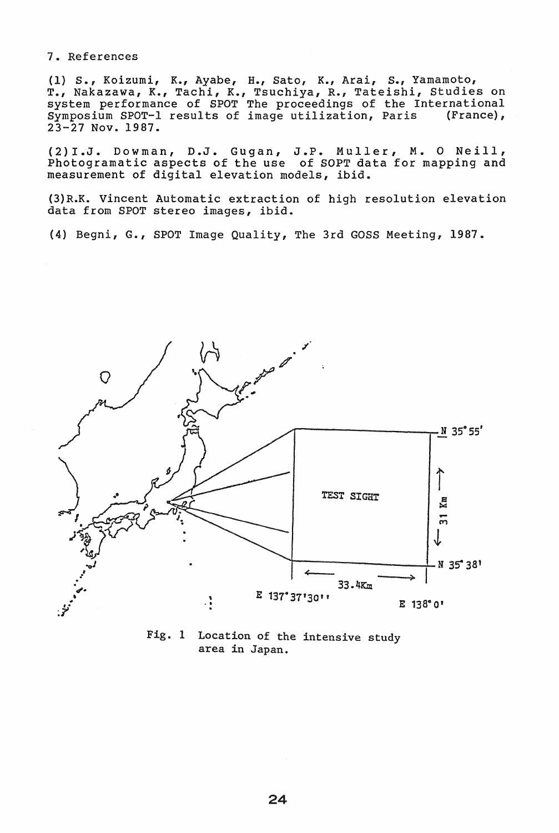## 7 .. References

(1) S., Koizumi, K., Ayabe, H., Sato, K., Arai, S., Yamamoto, T., Nakazawa, K., Tachi, K., Tsuchiya, R., Tateishi, Studies on system performance of SPOT The proceedings of the International Symposium SPOT-l results of image utilization, Paris (France),  $23-27$  Nov. 1987.

(2)I.J. Dowman, D.J. Gugan, J.P. Muller, M. O Neill, Photogramatic aspects of the use of SOPT data for mapping and measurement of digital elevation models, ibid.

(3) R.K. Vincent Automatic extraction of high resolution elevation data from SPOT stereo images, ibid.

(4) Begni, G., SPOT Image Quality, The 3rd GOSS Meeting, 1987.



Fig. 1 Location of the intensive study area in Japan.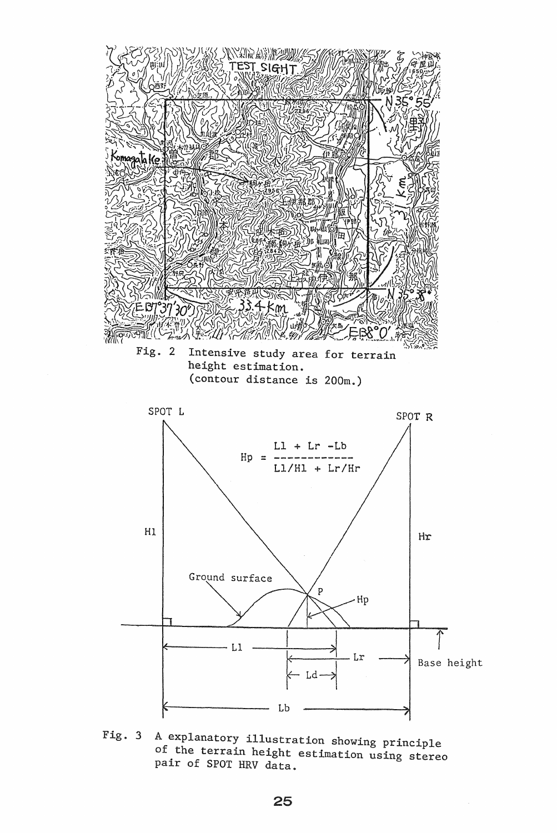

Fig. 3 A explanatory illustration showing principle of the terrain height estimation using stereo pair of SPOT HRV data.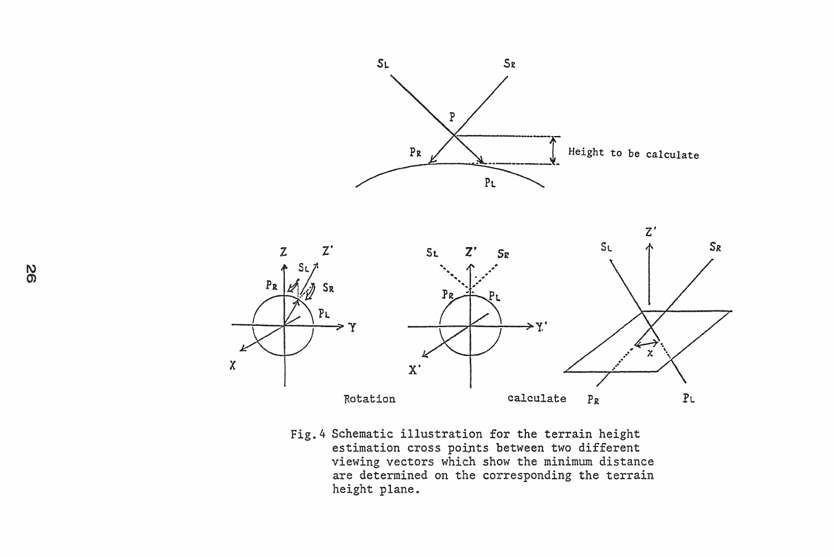



Fig.4 Schematic illustration for the terrain height estimation cross points between two different viewing vectors which show the minimum distance are determined on the corresponding the terrain height plane.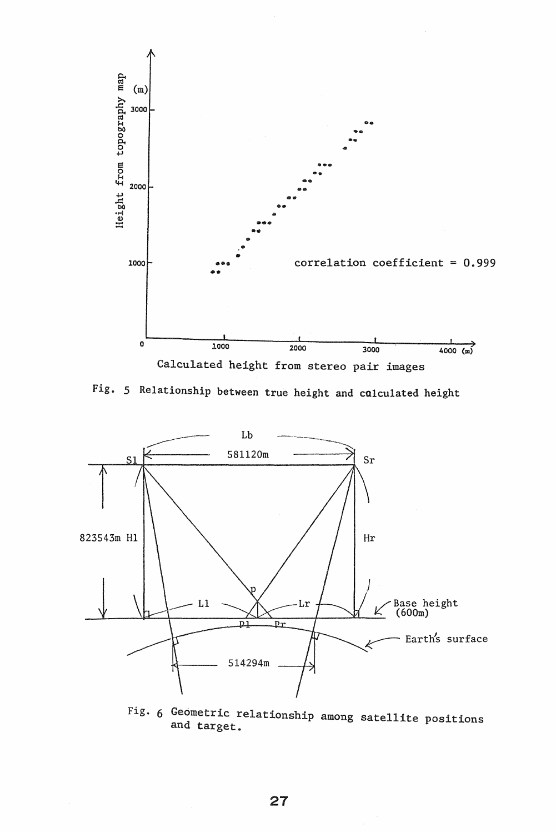

Fig. 5 Relationship between true height and calculated height



Fig. 6 Geometric relationship among satellite positions and target.